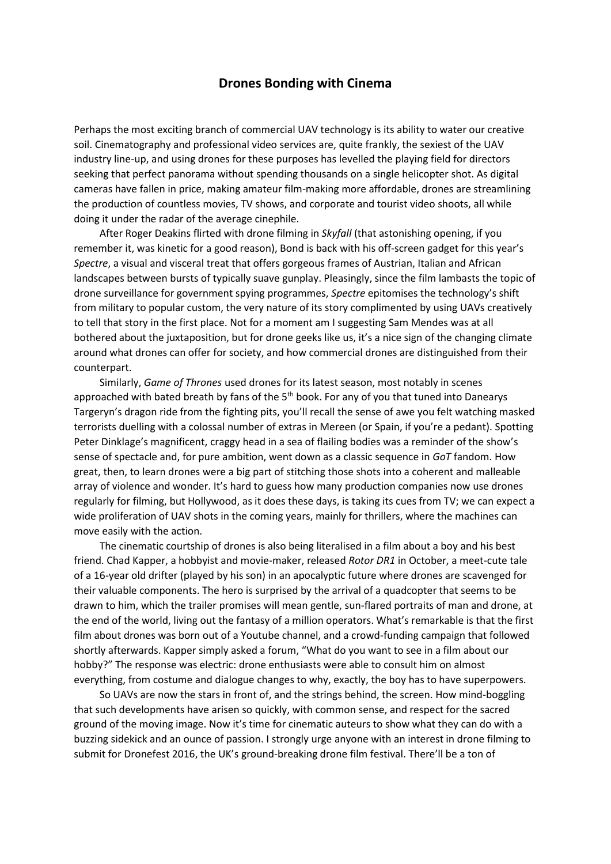## **Drones Bonding with Cinema**

Perhaps the most exciting branch of commercial UAV technology is its ability to water our creative soil. Cinematography and professional video services are, quite frankly, the sexiest of the UAV industry line-up, and using drones for these purposes has levelled the playing field for directors seeking that perfect panorama without spending thousands on a single helicopter shot. As digital cameras have fallen in price, making amateur film-making more affordable, drones are streamlining the production of countless movies, TV shows, and corporate and tourist video shoots, all while doing it under the radar of the average cinephile.

 After Roger Deakins flirted with drone filming in *Skyfall* (that astonishing opening, if you remember it, was kinetic for a good reason), Bond is back with his off-screen gadget for this year's *Spectre*, a visual and visceral treat that offers gorgeous frames of Austrian, Italian and African landscapes between bursts of typically suave gunplay. Pleasingly, since the film lambasts the topic of drone surveillance for government spying programmes, *Spectre* epitomises the technology's shift from military to popular custom, the very nature of its story complimented by using UAVs creatively to tell that story in the first place. Not for a moment am I suggesting Sam Mendes was at all bothered about the juxtaposition, but for drone geeks like us, it's a nice sign of the changing climate around what drones can offer for society, and how commercial drones are distinguished from their counterpart.

 Similarly, *Game of Thrones* used drones for its latest season, most notably in scenes approached with bated breath by fans of the  $5<sup>th</sup>$  book. For any of you that tuned into Danearys Targeryn's dragon ride from the fighting pits, you'll recall the sense of awe you felt watching masked terrorists duelling with a colossal number of extras in Mereen (or Spain, if you're a pedant). Spotting Peter Dinklage's magnificent, craggy head in a sea of flailing bodies was a reminder of the show's sense of spectacle and, for pure ambition, went down as a classic sequence in *GoT* fandom. How great, then, to learn drones were a big part of stitching those shots into a coherent and malleable array of violence and wonder. It's hard to guess how many production companies now use drones regularly for filming, but Hollywood, as it does these days, is taking its cues from TV; we can expect a wide proliferation of UAV shots in the coming years, mainly for thrillers, where the machines can move easily with the action.

 The cinematic courtship of drones is also being literalised in a film about a boy and his best friend. Chad Kapper, a hobbyist and movie-maker, released *Rotor DR1* in October, a meet-cute tale of a 16-year old drifter (played by his son) in an apocalyptic future where drones are scavenged for their valuable components. The hero is surprised by the arrival of a quadcopter that seems to be drawn to him, which the trailer promises will mean gentle, sun-flared portraits of man and drone, at the end of the world, living out the fantasy of a million operators. What's remarkable is that the first film about drones was born out of a Youtube channel, and a crowd-funding campaign that followed shortly afterwards. Kapper simply asked a forum, "What do you want to see in a film about our hobby?" The response was electric: drone enthusiasts were able to consult him on almost everything, from costume and dialogue changes to why, exactly, the boy has to have superpowers.

 So UAVs are now the stars in front of, and the strings behind, the screen. How mind-boggling that such developments have arisen so quickly, with common sense, and respect for the sacred ground of the moving image. Now it's time for cinematic auteurs to show what they can do with a buzzing sidekick and an ounce of passion. I strongly urge anyone with an interest in drone filming to submit for Dronefest 2016, the UK's ground-breaking drone film festival. There'll be a ton of